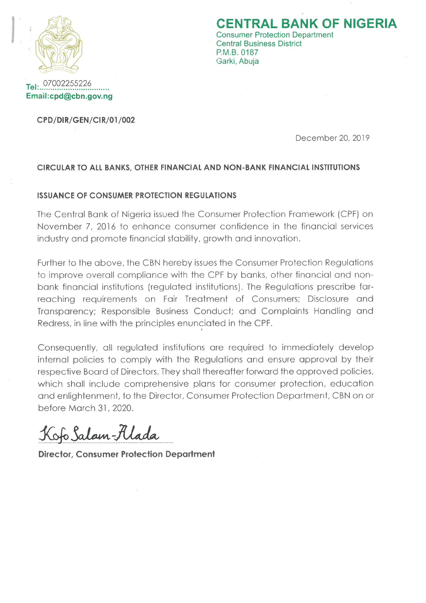

**ENTRAL BANK OF NIGERIA Consumer Protection Department Central Business District** 

Email:cpd@cbn.gov.ng

CPD/DIR/GEN/CIR/01/002

December 20, 2019

#### CIRCULAR TO ALL BANKS, OTHER FINANCIAL AND NON-BANK FINANCIAL INSTITUTIONS

P.M.B. 0187 Garki, Abuja

#### **ISSUANCE OF CONSUMER PROTECTION REGULATIONS**

The Central Bank of Nigeria issued the Consumer Protection Framework (CPF) on November 7, 2016 to enhance consumer confidence in the financial services industry and promote financial stability, growth and innovation.

Further to the above, the CBN hereby issues the Consumer Protection Regulations to improve overall compliance with the CPF by banks, other financial and nonbank financial institutions (regulated institutions). The Regulations prescribe farreaching requirements on Fair Treatment of Consumers; Disclosure and Transparency; Responsible Business Conduct; and Complaints Handling and Redress, in line with the principles enunciated in the CPF.

Consequently, all regulated institutions are required to immediately develop internal policies to comply with the Regulations and ensure approval by their respective Board of Directors. They shall thereafter forward the approved policies, which shall include comprehensive plans for consumer protection, education and enlightenment, to the Director, Consumer Protection Department, CBN on or before March 31, 2020.

Kofo Salam-Alada

**Director, Consumer Protection Department**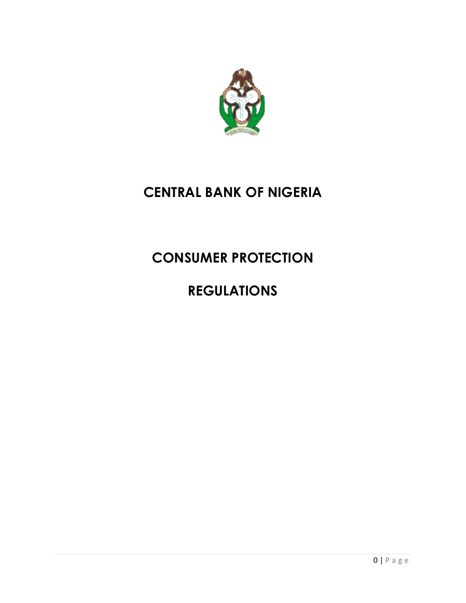

# **CENTRAL BANK OF NIGERIA**

# **CONSUMER PROTECTION**

# **REGULATIONS**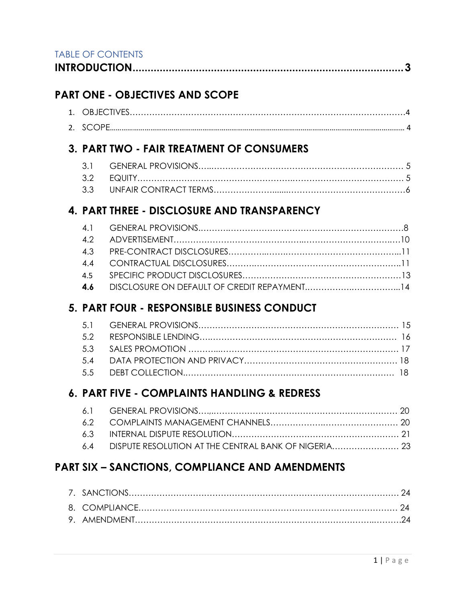|--|--|

# **PART ONE - OBJECTIVES AND SCOPE**

| 2. SCOPE |  |
|----------|--|

# **3. PART TWO - FAIR TREATMENT OF CONSUMERS**

# **4. PART THREE - DISCLOSURE AND TRANSPARENCY**

# **5. PART FOUR - RESPONSIBLE BUSINESS CONDUCT**

# **6. PART FIVE - COMPLAINTS HANDLING & REDRESS**

| 6.4 DISPUTE RESOLUTION AT THE CENTRAL BANK OF NIGERIA 23 |  |
|----------------------------------------------------------|--|

# **PART SIX – SANCTIONS, COMPLIANCE AND AMENDMENTS**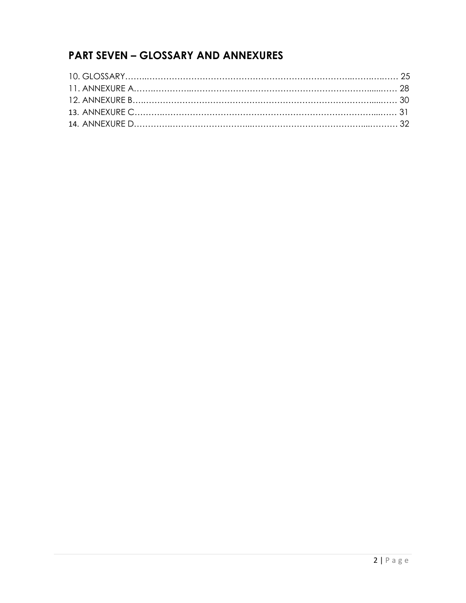# **PART SEVEN – GLOSSARY AND ANNEXURES**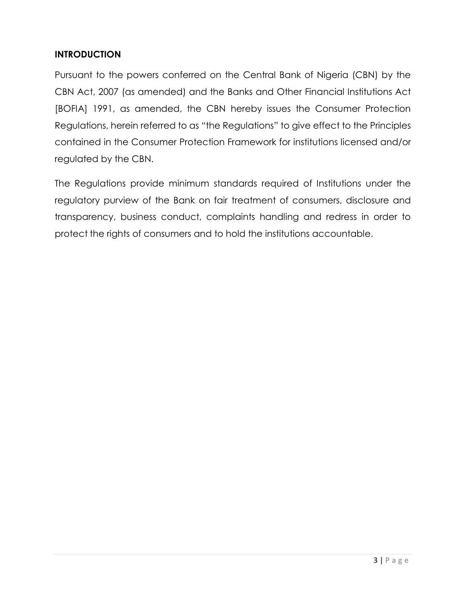# **INTRODUCTION**

Pursuant to the powers conferred on the Central Bank of Nigeria (CBN) by the CBN Act, 2007 (as amended) and the Banks and Other Financial Institutions Act [BOFIA] 1991, as amended, the CBN hereby issues the Consumer Protection Regulations, herein referred to as "the Regulations" to give effect to the Principles contained in the Consumer Protection Framework for institutions licensed and/or regulated by the CBN.

The Regulations provide minimum standards required of Institutions under the regulatory purview of the Bank on fair treatment of consumers, disclosure and transparency, business conduct, complaints handling and redress in order to protect the rights of consumers and to hold the institutions accountable.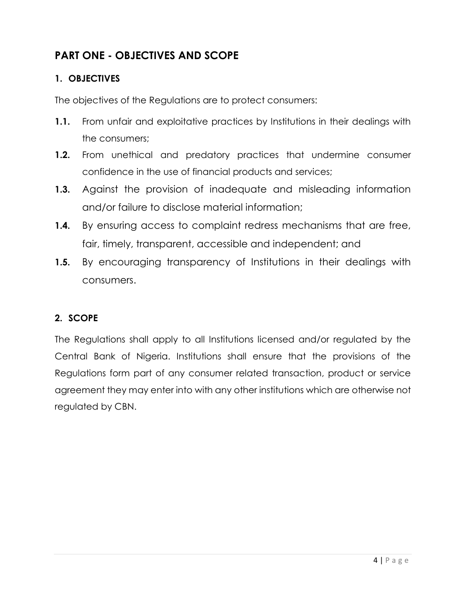# **PART ONE - OBJECTIVES AND SCOPE**

## **1. OBJECTIVES**

The objectives of the Regulations are to protect consumers:

- **1.1.** From unfair and exploitative practices by Institutions in their dealings with the consumers;
- **1.2.** From unethical and predatory practices that undermine consumer confidence in the use of financial products and services;
- **1.3.** Against the provision of inadequate and misleading information and/or failure to disclose material information;
- **1.4.** By ensuring access to complaint redress mechanisms that are free, fair, timely, transparent, accessible and independent; and
- **1.5.** By encouraging transparency of Institutions in their dealings with consumers.

## **2. SCOPE**

The Regulations shall apply to all Institutions licensed and/or regulated by the Central Bank of Nigeria. Institutions shall ensure that the provisions of the Regulations form part of any consumer related transaction, product or service agreement they may enter into with any other institutions which are otherwise not regulated by CBN.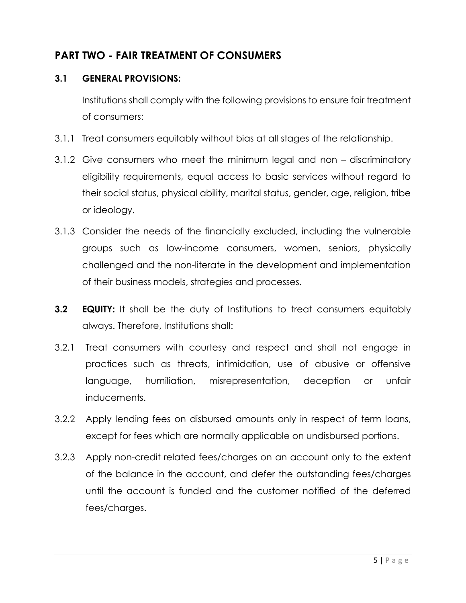# **PART TWO - FAIR TREATMENT OF CONSUMERS**

#### **3.1 GENERAL PROVISIONS:**

Institutions shall comply with the following provisions to ensure fair treatment of consumers:

- 3.1.1 Treat consumers equitably without bias at all stages of the relationship.
- 3.1.2 Give consumers who meet the minimum legal and non discriminatory eligibility requirements, equal access to basic services without regard to their social status, physical ability, marital status, gender, age, religion, tribe or ideology.
- 3.1.3 Consider the needs of the financially excluded, including the vulnerable groups such as low-income consumers, women, seniors, physically challenged and the non-literate in the development and implementation of their business models, strategies and processes.
- **3.2 <b>EQUITY:** It shall be the duty of Institutions to treat consumers equitably always. Therefore, Institutions shall:
- 3.2.1 Treat consumers with courtesy and respect and shall not engage in practices such as threats, intimidation, use of abusive or offensive language, humiliation, misrepresentation, deception or unfair inducements.
- 3.2.2 Apply lending fees on disbursed amounts only in respect of term loans, except for fees which are normally applicable on undisbursed portions.
- 3.2.3 Apply non-credit related fees/charges on an account only to the extent of the balance in the account, and defer the outstanding fees/charges until the account is funded and the customer notified of the deferred fees/charges.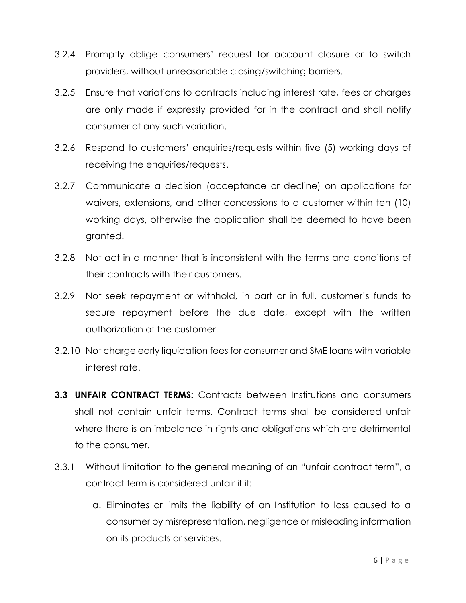- 3.2.4 Promptly oblige consumers' request for account closure or to switch providers, without unreasonable closing/switching barriers.
- 3.2.5 Ensure that variations to contracts including interest rate, fees or charges are only made if expressly provided for in the contract and shall notify consumer of any such variation.
- 3.2.6 Respond to customers' enquiries/requests within five (5) working days of receiving the enquiries/requests.
- 3.2.7 Communicate a decision (acceptance or decline) on applications for waivers, extensions, and other concessions to a customer within ten (10) working days, otherwise the application shall be deemed to have been granted.
- 3.2.8 Not act in a manner that is inconsistent with the terms and conditions of their contracts with their customers.
- 3.2.9 Not seek repayment or withhold, in part or in full, customer's funds to secure repayment before the due date, except with the written authorization of the customer.
- 3.2.10 Not charge early liquidation fees for consumer and SME loans with variable interest rate.
- **3.3 UNFAIR CONTRACT TERMS:** Contracts between Institutions and consumers shall not contain unfair terms. Contract terms shall be considered unfair where there is an imbalance in rights and obligations which are detrimental to the consumer.
- 3.3.1 Without limitation to the general meaning of an "unfair contract term", a contract term is considered unfair if it:
	- a. Eliminates or limits the liability of an Institution to loss caused to a consumer by misrepresentation, negligence or misleading information on its products or services.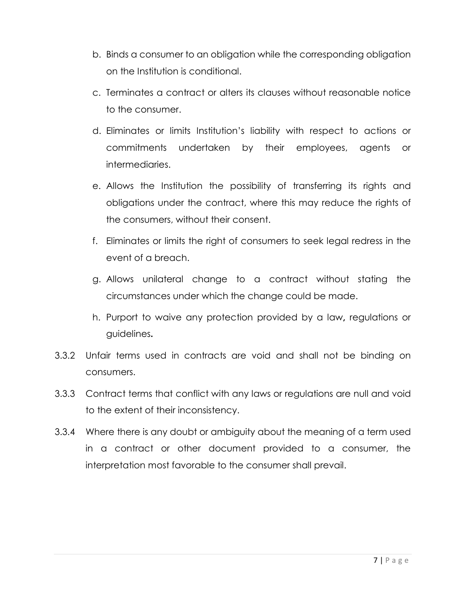- b. Binds a consumer to an obligation while the corresponding obligation on the Institution is conditional.
- c. Terminates a contract or alters its clauses without reasonable notice to the consumer.
- d. Eliminates or limits Institution's liability with respect to actions or commitments undertaken by their employees, agents or intermediaries.
- e. Allows the Institution the possibility of transferring its rights and obligations under the contract, where this may reduce the rights of the consumers, without their consent.
- f. Eliminates or limits the right of consumers to seek legal redress in the event of a breach.
- g. Allows unilateral change to a contract without stating the circumstances under which the change could be made.
- h. Purport to waive any protection provided by a law**,** regulations or guidelines**.**
- 3.3.2 Unfair terms used in contracts are void and shall not be binding on consumers.
- 3.3.3 Contract terms that conflict with any laws or regulations are null and void to the extent of their inconsistency.
- 3.3.4 Where there is any doubt or ambiguity about the meaning of a term used in a contract or other document provided to a consumer, the interpretation most favorable to the consumer shall prevail.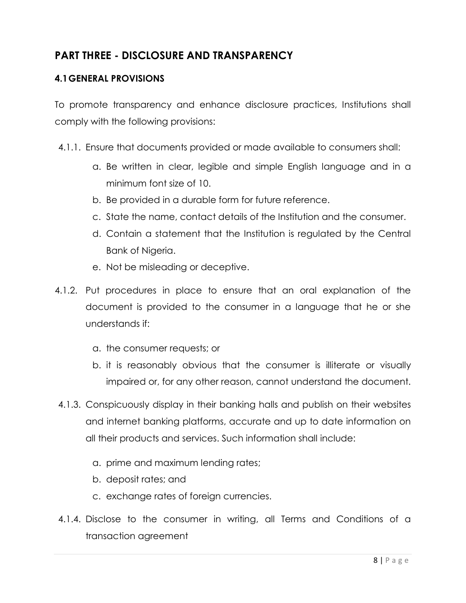# **PART THREE - DISCLOSURE AND TRANSPARENCY**

## **4.1GENERAL PROVISIONS**

To promote transparency and enhance disclosure practices, Institutions shall comply with the following provisions:

- 4.1.1. Ensure that documents provided or made available to consumers shall:
	- a. Be written in clear, legible and simple English language and in a minimum font size of 10.
	- b. Be provided in a durable form for future reference.
	- c. State the name, contact details of the Institution and the consumer.
	- d. Contain a statement that the Institution is regulated by the Central Bank of Nigeria.
	- e. Not be misleading or deceptive.
- 4.1.2. Put procedures in place to ensure that an oral explanation of the document is provided to the consumer in a language that he or she understands if:
	- a. the consumer requests; or
	- b. it is reasonably obvious that the consumer is illiterate or visually impaired or, for any other reason, cannot understand the document.
- 4.1.3. Conspicuously display in their banking halls and publish on their websites and internet banking platforms, accurate and up to date information on all their products and services. Such information shall include:
	- a. prime and maximum lending rates;
	- b. deposit rates; and
	- c. exchange rates of foreign currencies.
- 4.1.4. Disclose to the consumer in writing, all Terms and Conditions of a transaction agreement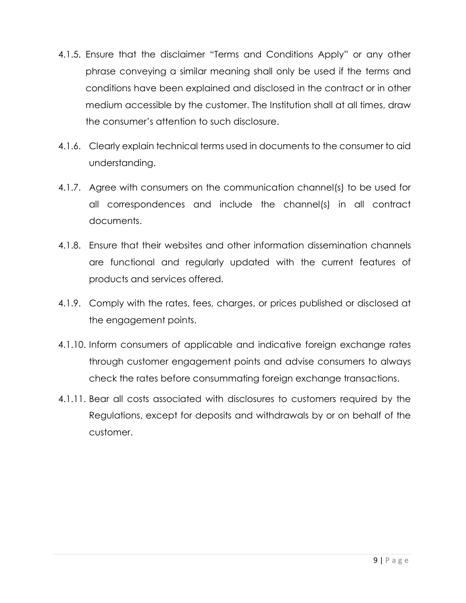- 4.1.5. Ensure that the disclaimer "Terms and Conditions Apply" or any other phrase conveying a similar meaning shall only be used if the terms and conditions have been explained and disclosed in the contract or in other medium accessible by the customer. The Institution shall at all times, draw the consumer's attention to such disclosure.
- 4.1.6. Clearly explain technical terms used in documents to the consumer to aid understanding.
- 4.1.7. Agree with consumers on the communication channel(s) to be used for all correspondences and include the channel(s) in all contract documents.
- 4.1.8. Ensure that their websites and other information dissemination channels are functional and regularly updated with the current features of products and services offered.
- 4.1.9. Comply with the rates, fees, charges, or prices published or disclosed at the engagement points.
- 4.1.10. Inform consumers of applicable and indicative foreign exchange rates through customer engagement points and advise consumers to always check the rates before consummating foreign exchange transactions.
- 4.1.11. Bear all costs associated with disclosures to customers required by the Regulations, except for deposits and withdrawals by or on behalf of the customer.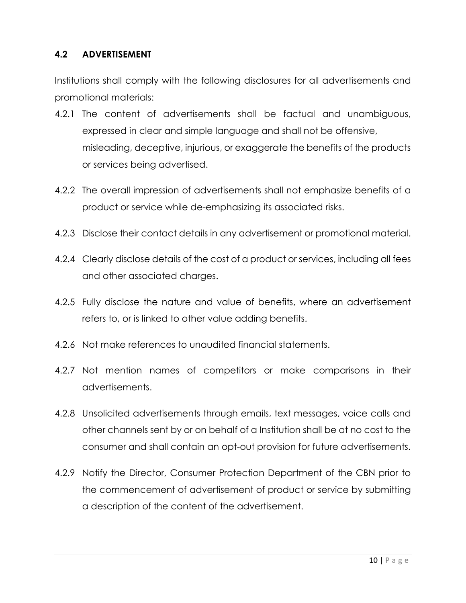## **4.2 ADVERTISEMENT**

Institutions shall comply with the following disclosures for all advertisements and promotional materials:

- 4.2.1 The content of advertisements shall be factual and unambiguous, expressed in clear and simple language and shall not be offensive, misleading, deceptive, injurious, or exaggerate the benefits of the products or services being advertised.
- 4.2.2 The overall impression of advertisements shall not emphasize benefits of a product or service while de-emphasizing its associated risks.
- 4.2.3 Disclose their contact details in any advertisement or promotional material.
- 4.2.4 Clearly disclose details of the cost of a product or services, including all fees and other associated charges.
- 4.2.5 Fully disclose the nature and value of benefits, where an advertisement refers to, or is linked to other value adding benefits.
- 4.2.6 Not make references to unaudited financial statements.
- 4.2.7 Not mention names of competitors or make comparisons in their advertisements.
- 4.2.8 Unsolicited advertisements through emails, text messages, voice calls and other channels sent by or on behalf of a Institution shall be at no cost to the consumer and shall contain an opt-out provision for future advertisements.
- 4.2.9 Notify the Director, Consumer Protection Department of the CBN prior to the commencement of advertisement of product or service by submitting a description of the content of the advertisement.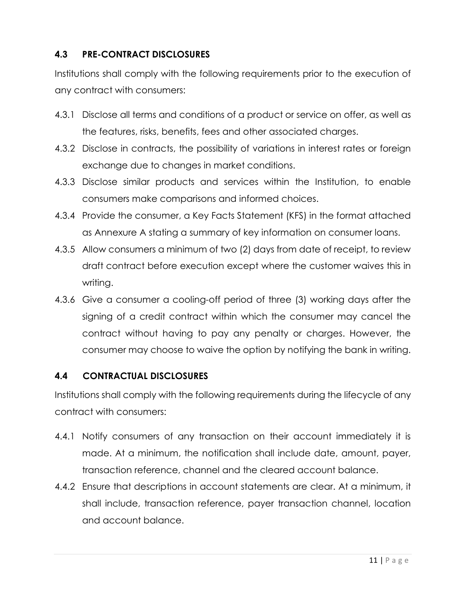# **4.3 PRE-CONTRACT DISCLOSURES**

Institutions shall comply with the following requirements prior to the execution of any contract with consumers:

- 4.3.1 Disclose all terms and conditions of a product or service on offer, as well as the features, risks, benefits, fees and other associated charges.
- 4.3.2 Disclose in contracts, the possibility of variations in interest rates or foreign exchange due to changes in market conditions.
- 4.3.3 Disclose similar products and services within the Institution, to enable consumers make comparisons and informed choices.
- 4.3.4 Provide the consumer, a Key Facts Statement (KFS) in the format attached as Annexure A stating a summary of key information on consumer loans.
- 4.3.5 Allow consumers a minimum of two (2) days from date of receipt, to review draft contract before execution except where the customer waives this in writing.
- 4.3.6 Give a consumer a cooling-off period of three (3) working days after the signing of a credit contract within which the consumer may cancel the contract without having to pay any penalty or charges. However, the consumer may choose to waive the option by notifying the bank in writing.

## **4.4 CONTRACTUAL DISCLOSURES**

Institutions shall comply with the following requirements during the lifecycle of any contract with consumers:

- 4.4.1 Notify consumers of any transaction on their account immediately it is made. At a minimum, the notification shall include date, amount, payer, transaction reference, channel and the cleared account balance.
- 4.4.2 Ensure that descriptions in account statements are clear. At a minimum, it shall include, transaction reference, payer transaction channel, location and account balance.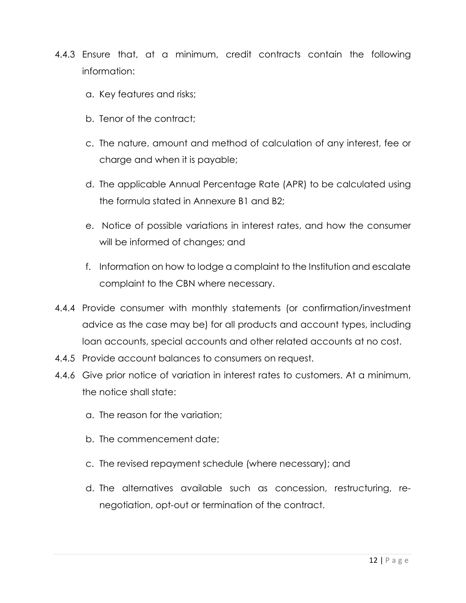- 4.4.3 Ensure that, at a minimum, credit contracts contain the following information:
	- a. Key features and risks;
	- b. Tenor of the contract;
	- c. The nature, amount and method of calculation of any interest, fee or charge and when it is payable;
	- d. The applicable Annual Percentage Rate (APR) to be calculated using the formula stated in Annexure B1 and B2;
	- e. Notice of possible variations in interest rates, and how the consumer will be informed of changes; and
	- f. Information on how to lodge a complaint to the Institution and escalate complaint to the CBN where necessary.
- 4.4.4 Provide consumer with monthly statements (or confirmation/investment advice as the case may be) for all products and account types, including loan accounts, special accounts and other related accounts at no cost.
- 4.4.5 Provide account balances to consumers on request.
- 4.4.6 Give prior notice of variation in interest rates to customers. At a minimum, the notice shall state:
	- a. The reason for the variation;
	- b. The commencement date;
	- c. The revised repayment schedule (where necessary); and
	- d. The alternatives available such as concession, restructuring, renegotiation, opt-out or termination of the contract.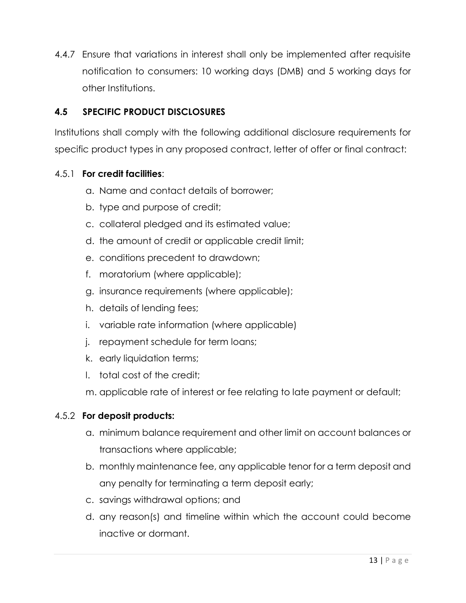4.4.7 Ensure that variations in interest shall only be implemented after requisite notification to consumers: 10 working days (DMB) and 5 working days for other Institutions.

# **4.5 SPECIFIC PRODUCT DISCLOSURES**

Institutions shall comply with the following additional disclosure requirements for specific product types in any proposed contract, letter of offer or final contract:

#### 4.5.1 **For credit facilities**:

- a. Name and contact details of borrower;
- b. type and purpose of credit;
- c. collateral pledged and its estimated value;
- d. the amount of credit or applicable credit limit;
- e. conditions precedent to drawdown;
- f. moratorium (where applicable);
- g. insurance requirements (where applicable);
- h. details of lending fees;
- i. variable rate information (where applicable)
- j. repayment schedule for term loans;
- k. early liquidation terms;
- l. total cost of the credit;
- m. applicable rate of interest or fee relating to late payment or default;

#### 4.5.2 **For deposit products:**

- a. minimum balance requirement and other limit on account balances or transactions where applicable;
- b. monthly maintenance fee, any applicable tenor for a term deposit and any penalty for terminating a term deposit early;
- c. savings withdrawal options; and
- d. any reason(s) and timeline within which the account could become inactive or dormant.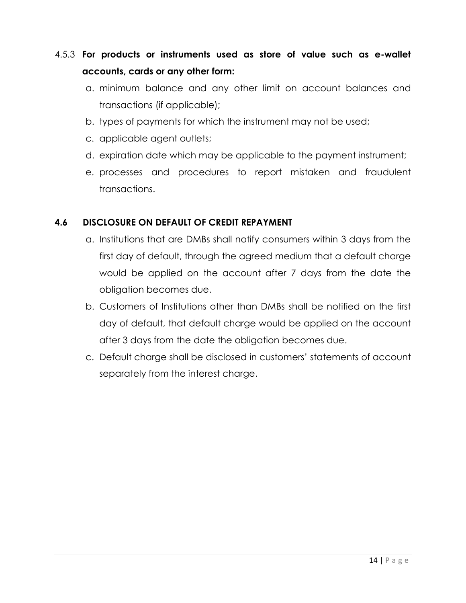# 4.5.3 **For products or instruments used as store of value such as e-wallet accounts, cards or any other form:**

- a. minimum balance and any other limit on account balances and transactions (if applicable);
- b. types of payments for which the instrument may not be used;
- c. applicable agent outlets;
- d. expiration date which may be applicable to the payment instrument;
- e. processes and procedures to report mistaken and fraudulent transactions.

#### **4.6 DISCLOSURE ON DEFAULT OF CREDIT REPAYMENT**

- a. Institutions that are DMBs shall notify consumers within 3 days from the first day of default, through the agreed medium that a default charge would be applied on the account after 7 days from the date the obligation becomes due.
- b. Customers of Institutions other than DMBs shall be notified on the first day of default, that default charge would be applied on the account after 3 days from the date the obligation becomes due.
- c. Default charge shall be disclosed in customers' statements of account separately from the interest charge.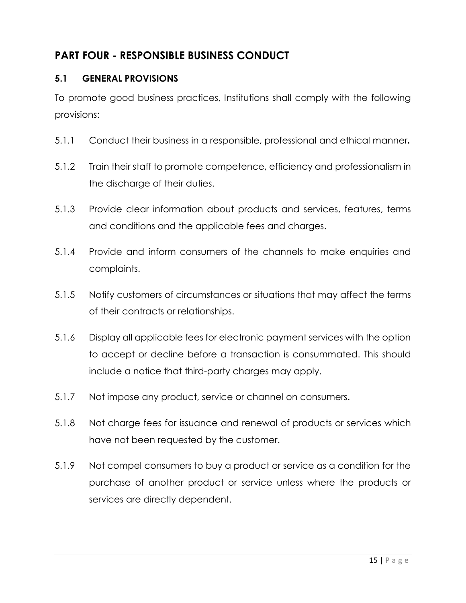# **PART FOUR - RESPONSIBLE BUSINESS CONDUCT**

# **5.1 GENERAL PROVISIONS**

To promote good business practices, Institutions shall comply with the following provisions:

- 5.1.1 Conduct their business in a responsible, professional and ethical manner**.**
- 5.1.2 Train their staff to promote competence, efficiency and professionalism in the discharge of their duties.
- 5.1.3 Provide clear information about products and services, features, terms and conditions and the applicable fees and charges.
- 5.1.4 Provide and inform consumers of the channels to make enquiries and complaints.
- 5.1.5 Notify customers of circumstances or situations that may affect the terms of their contracts or relationships.
- 5.1.6 Display all applicable fees for electronic payment services with the option to accept or decline before a transaction is consummated. This should include a notice that third-party charges may apply.
- 5.1.7 Not impose any product, service or channel on consumers.
- 5.1.8 Not charge fees for issuance and renewal of products or services which have not been requested by the customer.
- 5.1.9 Not compel consumers to buy a product or service as a condition for the purchase of another product or service unless where the products or services are directly dependent.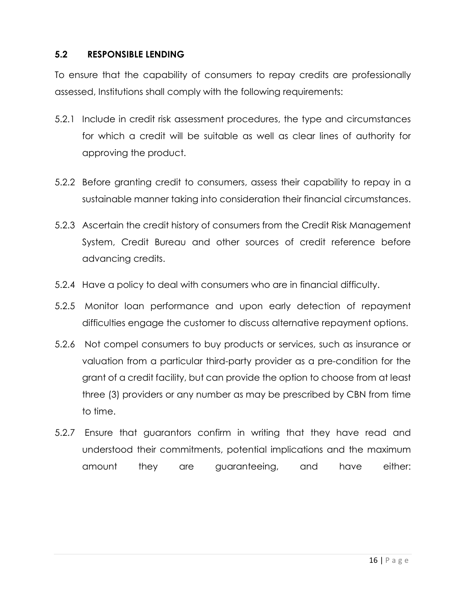## **5.2 RESPONSIBLE LENDING**

To ensure that the capability of consumers to repay credits are professionally assessed, Institutions shall comply with the following requirements:

- 5.2.1 Include in credit risk assessment procedures, the type and circumstances for which a credit will be suitable as well as clear lines of authority for approving the product.
- 5.2.2 Before granting credit to consumers, assess their capability to repay in a sustainable manner taking into consideration their financial circumstances.
- 5.2.3 Ascertain the credit history of consumers from the Credit Risk Management System, Credit Bureau and other sources of credit reference before advancing credits.
- 5.2.4 Have a policy to deal with consumers who are in financial difficulty.
- 5.2.5 Monitor loan performance and upon early detection of repayment difficulties engage the customer to discuss alternative repayment options.
- 5.2.6 Not compel consumers to buy products or services, such as insurance or valuation from a particular third-party provider as a pre-condition for the grant of a credit facility, but can provide the option to choose from at least three (3) providers or any number as may be prescribed by CBN from time to time.
- 5.2.7 Ensure that guarantors confirm in writing that they have read and understood their commitments, potential implications and the maximum amount they are guaranteeing, and have either: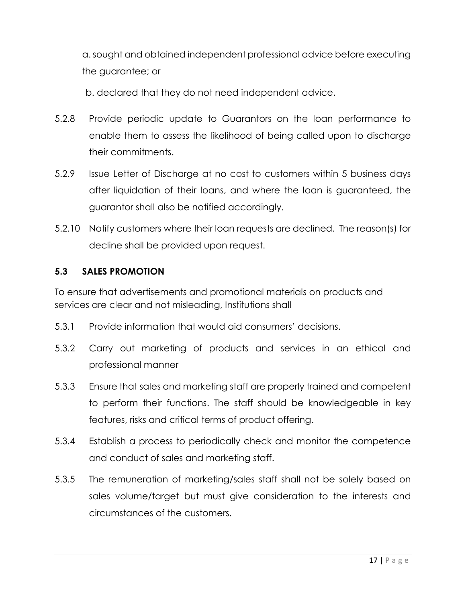a. sought and obtained independent professional advice before executing the guarantee; or

b. declared that they do not need independent advice.

- 5.2.8 Provide periodic update to Guarantors on the loan performance to enable them to assess the likelihood of being called upon to discharge their commitments.
- 5.2.9 Issue Letter of Discharge at no cost to customers within 5 business days after liquidation of their loans, and where the loan is guaranteed, the guarantor shall also be notified accordingly.
- 5.2.10 Notify customers where their loan requests are declined. The reason(s) for decline shall be provided upon request.

### **5.3 SALES PROMOTION**

To ensure that advertisements and promotional materials on products and services are clear and not misleading, Institutions shall

- 5.3.1 Provide information that would aid consumers' decisions.
- 5.3.2 Carry out marketing of products and services in an ethical and professional manner
- 5.3.3 Ensure that sales and marketing staff are properly trained and competent to perform their functions. The staff should be knowledgeable in key features, risks and critical terms of product offering.
- 5.3.4 Establish a process to periodically check and monitor the competence and conduct of sales and marketing staff.
- 5.3.5 The remuneration of marketing/sales staff shall not be solely based on sales volume/target but must give consideration to the interests and circumstances of the customers.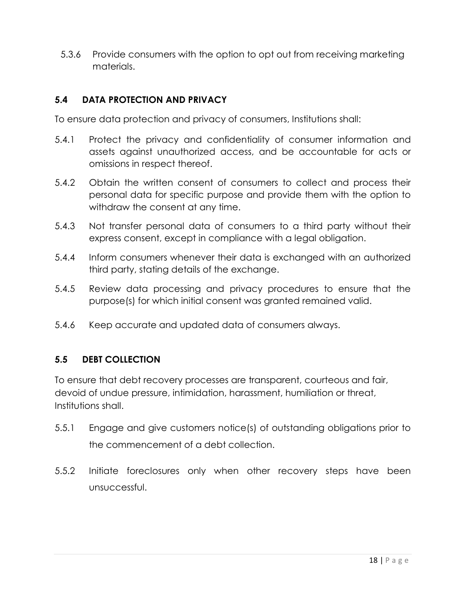5.3.6 Provide consumers with the option to opt out from receiving marketing materials.

# **5.4 DATA PROTECTION AND PRIVACY**

To ensure data protection and privacy of consumers, Institutions shall:

- 5.4.1 Protect the privacy and confidentiality of consumer information and assets against unauthorized access, and be accountable for acts or omissions in respect thereof.
- 5.4.2 Obtain the written consent of consumers to collect and process their personal data for specific purpose and provide them with the option to withdraw the consent at any time.
- 5.4.3 Not transfer personal data of consumers to a third party without their express consent, except in compliance with a legal obligation.
- 5.4.4 Inform consumers whenever their data is exchanged with an authorized third party, stating details of the exchange.
- 5.4.5 Review data processing and privacy procedures to ensure that the purpose(s) for which initial consent was granted remained valid.
- 5.4.6 Keep accurate and updated data of consumers always.

## **5.5 DEBT COLLECTION**

To ensure that debt recovery processes are transparent, courteous and fair, devoid of undue pressure, intimidation, harassment, humiliation or threat, Institutions shall.

- 5.5.1 Engage and give customers notice(s) of outstanding obligations prior to the commencement of a debt collection.
- 5.5.2 Initiate foreclosures only when other recovery steps have been unsuccessful.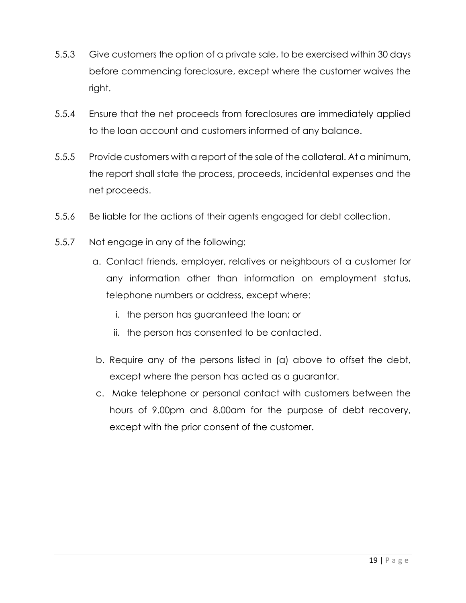- 5.5.3 Give customers the option of a private sale, to be exercised within 30 days before commencing foreclosure, except where the customer waives the right.
- 5.5.4 Ensure that the net proceeds from foreclosures are immediately applied to the loan account and customers informed of any balance.
- 5.5.5 Provide customers with a report of the sale of the collateral. At a minimum, the report shall state the process, proceeds, incidental expenses and the net proceeds.
- 5.5.6 Be liable for the actions of their agents engaged for debt collection.
- 5.5.7 Not engage in any of the following:
	- a. Contact friends, employer, relatives or neighbours of a customer for any information other than information on employment status, telephone numbers or address, except where:
		- i. the person has guaranteed the loan; or
		- ii. the person has consented to be contacted.
	- b. Require any of the persons listed in (a) above to offset the debt, except where the person has acted as a guarantor.
	- c. Make telephone or personal contact with customers between the hours of 9.00pm and 8.00am for the purpose of debt recovery, except with the prior consent of the customer.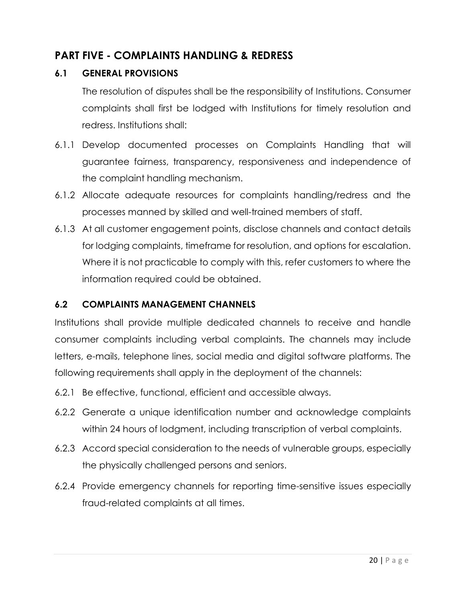# **PART FIVE - COMPLAINTS HANDLING & REDRESS**

## **6.1 GENERAL PROVISIONS**

The resolution of disputes shall be the responsibility of Institutions. Consumer complaints shall first be lodged with Institutions for timely resolution and redress. Institutions shall:

- 6.1.1 Develop documented processes on Complaints Handling that will guarantee fairness, transparency, responsiveness and independence of the complaint handling mechanism.
- 6.1.2 Allocate adequate resources for complaints handling/redress and the processes manned by skilled and well-trained members of staff.
- 6.1.3 At all customer engagement points, disclose channels and contact details for lodging complaints, timeframe for resolution, and options for escalation. Where it is not practicable to comply with this, refer customers to where the information required could be obtained.

# **6.2 COMPLAINTS MANAGEMENT CHANNELS**

Institutions shall provide multiple dedicated channels to receive and handle consumer complaints including verbal complaints. The channels may include letters, e-mails, telephone lines, social media and digital software platforms. The following requirements shall apply in the deployment of the channels:

- 6.2.1 Be effective, functional, efficient and accessible always.
- 6.2.2 Generate a unique identification number and acknowledge complaints within 24 hours of lodgment, including transcription of verbal complaints.
- 6.2.3 Accord special consideration to the needs of vulnerable groups, especially the physically challenged persons and seniors.
- 6.2.4 Provide emergency channels for reporting time-sensitive issues especially fraud-related complaints at all times.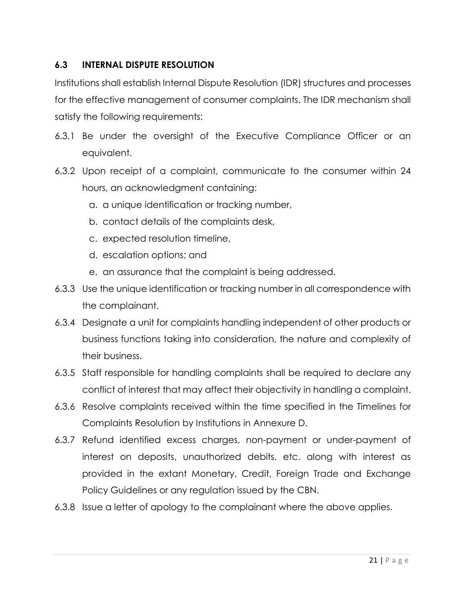# **6.3 INTERNAL DISPUTE RESOLUTION**

Institutions shall establish Internal Dispute Resolution (IDR) structures and processes for the effective management of consumer complaints. The IDR mechanism shall satisfy the following requirements:

- 6.3.1 Be under the oversight of the Executive Compliance Officer or an equivalent.
- 6.3.2 Upon receipt of a complaint, communicate to the consumer within 24 hours, an acknowledgment containing:
	- a. a unique identification or tracking number,
	- b. contact details of the complaints desk,
	- c. expected resolution timeline,
	- d. escalation options; and
	- e. an assurance that the complaint is being addressed.
- 6.3.3 Use the unique identification or tracking number in all correspondence with the complainant.
- 6.3.4 Designate a unit for complaints handling independent of other products or business functions taking into consideration, the nature and complexity of their business.
- 6.3.5 Staff responsible for handling complaints shall be required to declare any conflict of interest that may affect their objectivity in handling a complaint.
- 6.3.6 Resolve complaints received within the time specified in the Timelines for Complaints Resolution by Institutions in Annexure D.
- 6.3.7 Refund identified excess charges, non-payment or under-payment of interest on deposits, unauthorized debits, etc. along with interest as provided in the extant Monetary, Credit, Foreign Trade and Exchange Policy Guidelines or any regulation issued by the CBN.
- 6.3.8 Issue a letter of apology to the complainant where the above applies.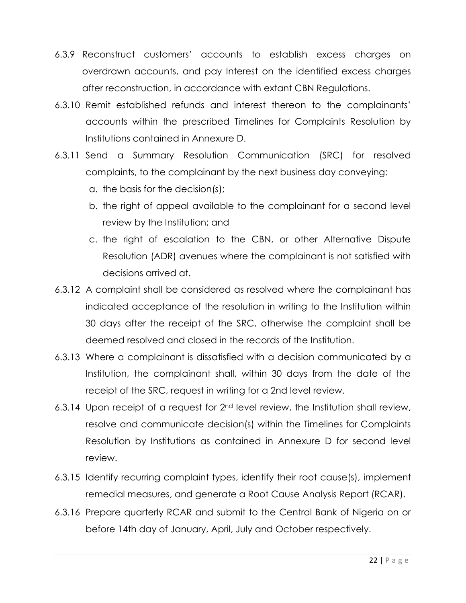- 6.3.9 Reconstruct customers' accounts to establish excess charges on overdrawn accounts, and pay Interest on the identified excess charges after reconstruction, in accordance with extant CBN Regulations.
- 6.3.10 Remit established refunds and interest thereon to the complainants' accounts within the prescribed Timelines for Complaints Resolution by Institutions contained in Annexure D.
- 6.3.11 Send a Summary Resolution Communication (SRC) for resolved complaints, to the complainant by the next business day conveying:
	- a. the basis for the decision(s);
	- b. the right of appeal available to the complainant for a second level review by the Institution; and
	- c. the right of escalation to the CBN, or other Alternative Dispute Resolution (ADR) avenues where the complainant is not satisfied with decisions arrived at.
- 6.3.12 A complaint shall be considered as resolved where the complainant has indicated acceptance of the resolution in writing to the Institution within 30 days after the receipt of the SRC, otherwise the complaint shall be deemed resolved and closed in the records of the Institution.
- 6.3.13 Where a complainant is dissatisfied with a decision communicated by a Institution, the complainant shall, within 30 days from the date of the receipt of the SRC, request in writing for a 2nd level review.
- 6.3.14 Upon receipt of a request for 2nd level review, the Institution shall review, resolve and communicate decision(s) within the Timelines for Complaints Resolution by Institutions as contained in Annexure D for second level review.
- 6.3.15 Identify recurring complaint types, identify their root cause(s), implement remedial measures, and generate a Root Cause Analysis Report (RCAR).
- 6.3.16 Prepare quarterly RCAR and submit to the Central Bank of Nigeria on or before 14th day of January, April, July and October respectively.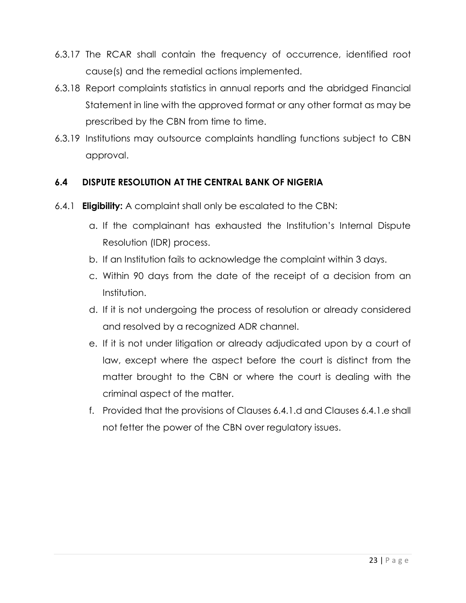- 6.3.17 The RCAR shall contain the frequency of occurrence, identified root cause(s) and the remedial actions implemented.
- 6.3.18 Report complaints statistics in annual reports and the abridged Financial Statement in line with the approved format or any other format as may be prescribed by the CBN from time to time.
- 6.3.19 Institutions may outsource complaints handling functions subject to CBN approval.

# **6.4 DISPUTE RESOLUTION AT THE CENTRAL BANK OF NIGERIA**

- 6.4.1 **Eligibility:** A complaint shall only be escalated to the CBN:
	- a. If the complainant has exhausted the Institution's Internal Dispute Resolution (IDR) process.
	- b. If an Institution fails to acknowledge the complaint within 3 days.
	- c. Within 90 days from the date of the receipt of a decision from an Institution.
	- d. If it is not undergoing the process of resolution or already considered and resolved by a recognized ADR channel.
	- e. If it is not under litigation or already adjudicated upon by a court of law, except where the aspect before the court is distinct from the matter brought to the CBN or where the court is dealing with the criminal aspect of the matter.
	- f. Provided that the provisions of Clauses 6.4.1.d and Clauses 6.4.1.e shall not fetter the power of the CBN over regulatory issues.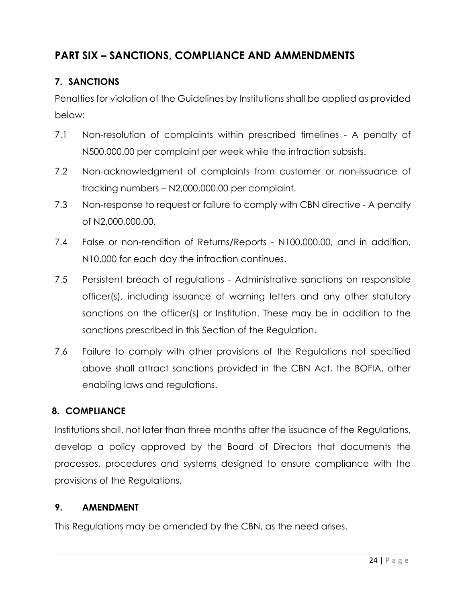# **PART SIX – SANCTIONS, COMPLIANCE AND AMMENDMENTS**

# **7. SANCTIONS**

Penalties for violation of the Guidelines by Institutions shall be applied as provided below:

- 7.1 Non-resolution of complaints within prescribed timelines A penalty of N500,000.00 per complaint per week while the infraction subsists.
- 7.2 Non-acknowledgment of complaints from customer or non-issuance of tracking numbers – N2,000,000.00 per complaint.
- 7.3 Non-response to request or failure to comply with CBN directive A penalty of N2,000,000.00.
- 7.4 False or non-rendition of Returns/Reports N100,000.00, and in addition, N10,000 for each day the infraction continues.
- 7.5 Persistent breach of regulations Administrative sanctions on responsible officer(s), including issuance of warning letters and any other statutory sanctions on the officer(s) or Institution. These may be in addition to the sanctions prescribed in this Section of the Regulation.
- 7.6 Failure to comply with other provisions of the Regulations not specified above shall attract sanctions provided in the CBN Act, the BOFIA, other enabling laws and regulations.

#### **8. COMPLIANCE**

Institutions shall, not later than three months after the issuance of the Regulations, develop a policy approved by the Board of Directors that documents the processes, procedures and systems designed to ensure compliance with the provisions of the Regulations.

#### **9. AMENDMENT**

This Regulations may be amended by the CBN, as the need arises.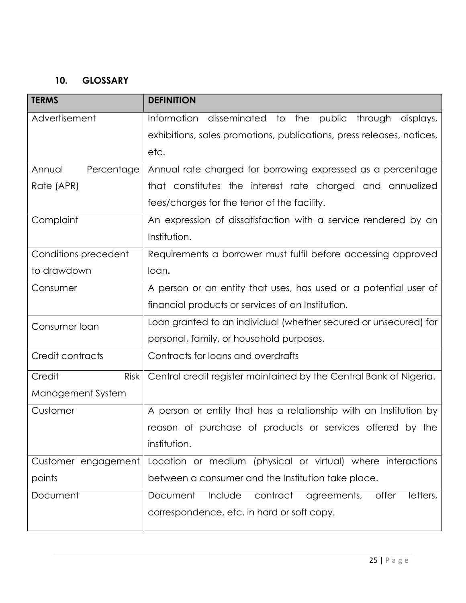# **10. GLOSSARY**

| <b>TERMS</b>         | <b>DEFINITION</b>                                                     |
|----------------------|-----------------------------------------------------------------------|
| Advertisement        | Information<br>disseminated<br>to<br>the public through<br>displays,  |
|                      | exhibitions, sales promotions, publications, press releases, notices, |
|                      | etc.                                                                  |
| Percentage<br>Annual | Annual rate charged for borrowing expressed as a percentage           |
| Rate (APR)           | that constitutes the interest rate charged and annualized             |
|                      | fees/charges for the tenor of the facility.                           |
| Complaint            | An expression of dissatisfaction with a service rendered by an        |
|                      | Institution.                                                          |
| Conditions precedent | Requirements a borrower must fulfil before accessing approved         |
| to drawdown          | loan.                                                                 |
| Consumer             | A person or an entity that uses, has used or a potential user of      |
|                      | financial products or services of an Institution.                     |
| Consumer loan        | Loan granted to an individual (whether secured or unsecured) for      |
|                      | personal, family, or household purposes.                              |
| Credit contracts     | Contracts for loans and overdrafts                                    |
| Credit<br>Risk       | Central credit register maintained by the Central Bank of Nigeria.    |
| Management System    |                                                                       |
| Customer             | A person or entity that has a relationship with an Institution by     |
|                      | reason of purchase of products or services offered by the             |
|                      | institution.                                                          |
| Customer engagement  | Location or medium (physical or virtual) where interactions           |
| points               | between a consumer and the Institution take place.                    |
| Document             | offer<br>letters,<br>Document<br>Include<br>contract<br>agreements,   |
|                      | correspondence, etc. in hard or soft copy.                            |
|                      |                                                                       |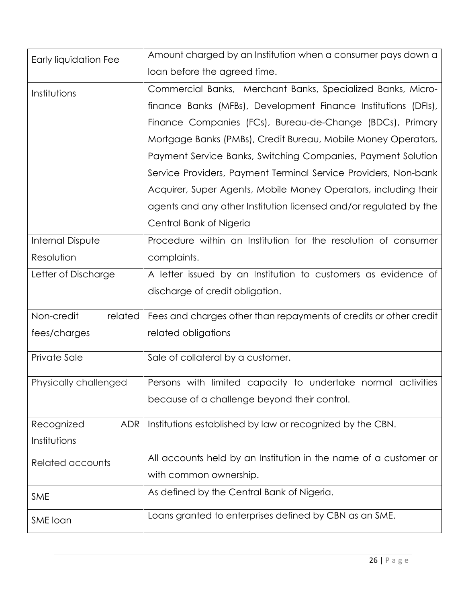| <b>Early liquidation Fee</b> | Amount charged by an Institution when a consumer pays down a      |
|------------------------------|-------------------------------------------------------------------|
|                              | loan before the agreed time.                                      |
| Institutions                 | Commercial Banks, Merchant Banks, Specialized Banks, Micro-       |
|                              | finance Banks (MFBs), Development Finance Institutions (DFIs),    |
|                              | Finance Companies (FCs), Bureau-de-Change (BDCs), Primary         |
|                              | Mortgage Banks (PMBs), Credit Bureau, Mobile Money Operators,     |
|                              | Payment Service Banks, Switching Companies, Payment Solution      |
|                              | Service Providers, Payment Terminal Service Providers, Non-bank   |
|                              | Acquirer, Super Agents, Mobile Money Operators, including their   |
|                              | agents and any other Institution licensed and/or regulated by the |
|                              | Central Bank of Nigeria                                           |
| Internal Dispute             | Procedure within an Institution for the resolution of consumer    |
| Resolution                   | complaints.                                                       |
| Letter of Discharge          | A letter issued by an Institution to customers as evidence of     |
|                              | discharge of credit obligation.                                   |
| Non-credit<br>related        | Fees and charges other than repayments of credits or other credit |
| fees/charges                 | related obligations                                               |
| Private Sale                 | Sale of collateral by a customer.                                 |
|                              |                                                                   |
| Physically challenged        | Persons with limited capacity to undertake normal activities      |
|                              | because of a challenge beyond their control.                      |
| Recognized<br>ADR            | Institutions established by law or recognized by the CBN.         |
| Institutions                 |                                                                   |
| Related accounts             | All accounts held by an Institution in the name of a customer or  |
|                              | with common ownership.                                            |
| <b>SME</b>                   | As defined by the Central Bank of Nigeria.                        |
| SME loan                     | Loans granted to enterprises defined by CBN as an SME.            |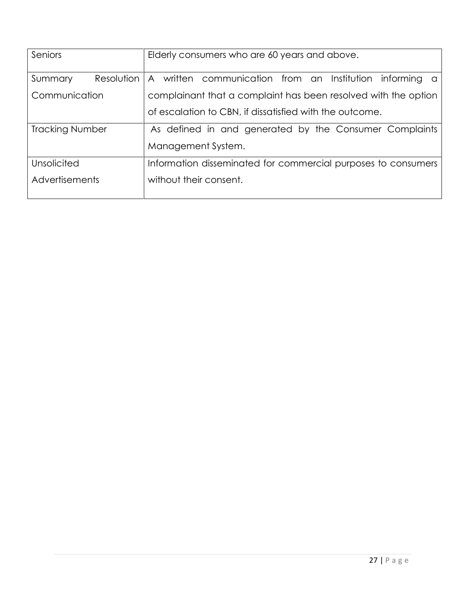| Seniors                | Elderly consumers who are 60 years and above.                  |
|------------------------|----------------------------------------------------------------|
| Resolution<br>Summary  | written communication from an Institution informing a<br>A     |
| Communication          | complainant that a complaint has been resolved with the option |
|                        | of escalation to CBN, if dissatisfied with the outcome.        |
| <b>Tracking Number</b> | As defined in and generated by the Consumer Complaints         |
|                        | Management System.                                             |
| Unsolicited            | Information disseminated for commercial purposes to consumers  |
| Advertisements         | without their consent.                                         |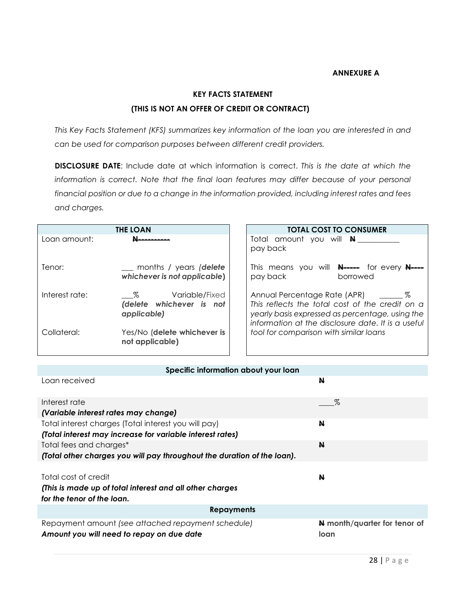#### **ANNEXURE A**

## **KEY FACTS STATEMENT (THIS IS NOT AN OFFER OF CREDIT OR CONTRACT)**

*This Key Facts Statement (KFS) summarizes key information of the loan you are interested in and can be used for comparison purposes between different credit providers.* 

**DISCLOSURE DATE**: Include date at which information is correct. *This is the date at which the*  information is correct. Note that the final loan features may differ because of your personal *financial position or due to a change in the information provided, including interest rates and fees and charges.*

|                | <b>THE LOAN</b>                                                   | <b>TOTAL COST TO CONSUMER</b>                                                                                                                                                            |
|----------------|-------------------------------------------------------------------|------------------------------------------------------------------------------------------------------------------------------------------------------------------------------------------|
| Loan amount:   |                                                                   | Total amount you will <b>N</b><br>pay back                                                                                                                                               |
| Tenor:         | __ months / years (delete<br>whichever is not applicable)         | This means you will N---- for every N-<br>pay back<br>borrowed                                                                                                                           |
| Interest rate: | $\%$<br>Variable/Fixed<br>(delete whichever is not<br>applicable) | Annual Percentage Rate (APR)<br>This reflects the total cost of the credit on a<br>yearly basis expressed as percentage, using the<br>information at the disclosure date. It is a useful |
| Collateral:    | Yes/No (delete whichever is<br>not applicable)                    | tool for comparison with similar loans                                                                                                                                                   |

| Specific information about your loan                                    |                              |  |  |  |
|-------------------------------------------------------------------------|------------------------------|--|--|--|
| Loan received                                                           | N                            |  |  |  |
| Interest rate                                                           | %                            |  |  |  |
| (Variable interest rates may change)                                    |                              |  |  |  |
| Total interest charges (Total interest you will pay)                    | N                            |  |  |  |
| (Total interest may increase for variable interest rates)               |                              |  |  |  |
| Total fees and charges*                                                 | N                            |  |  |  |
| (Total other charges you will pay throughout the duration of the loan). |                              |  |  |  |
|                                                                         |                              |  |  |  |
| Total cost of credit                                                    | N                            |  |  |  |
| (This is made up of total interest and all other charges                |                              |  |  |  |
| for the tenor of the loan.                                              |                              |  |  |  |
| <b>Repayments</b>                                                       |                              |  |  |  |
| Repayment amount (see attached repayment schedule)                      | N month/quarter for tenor of |  |  |  |
| Amount you will need to repay on due date                               | loan                         |  |  |  |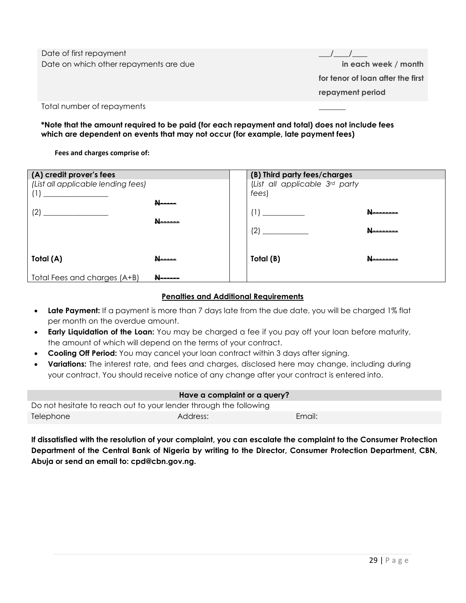| Date of first repayment                |                                   |
|----------------------------------------|-----------------------------------|
| Date on which other repayments are due | in each week / month              |
|                                        | for tenor of loan after the first |
|                                        | repayment period                  |
| Total number of repayments             |                                   |

#### **\*Note that the amount required to be paid (for each repayment and total) does not include fees which are dependent on events that may not occur (for example, late payment fees)**

**Fees and charges comprise of:**

| (A) credit prover's fees           |            | (B) Third party fees/charges   |  |
|------------------------------------|------------|--------------------------------|--|
| (List all applicable lending fees) |            | (List all applicable 3rd party |  |
|                                    |            | fees)                          |  |
|                                    |            |                                |  |
| (2)                                |            |                                |  |
|                                    |            |                                |  |
|                                    |            | $(2)$ .                        |  |
|                                    |            |                                |  |
|                                    |            |                                |  |
| Total (A)                          |            | Total (B)                      |  |
|                                    |            |                                |  |
| Total Fees and charges (A+B)       | <u> N.</u> |                                |  |

#### **Penalties and Additional Requirements**

- Late Payment: If a payment is more than 7 days late from the due date, you will be charged 1% flat per month on the overdue amount.
- **Early Liquidation of the Loan:** You may be charged a fee if you pay off your loan before maturity, the amount of which will depend on the terms of your contract.
- **Cooling Off Period:** You may cancel your loan contract within 3 days after signing.
- **Variations:** The interest rate, and fees and charges, disclosed here may change, including during your contract. You should receive notice of any change after your contract is entered into.

# **Have a complaint or a query?** Do not hesitate to reach out to your lender through the following Telephone **Address:** Email:

**If dissatisfied with the resolution of your complaint, you can escalate the complaint to the Consumer Protection Department of the Central Bank of Nigeria by writing to the Director, Consumer Protection Department, CBN, Abuja or send an email to: cpd@cbn.gov.ng.**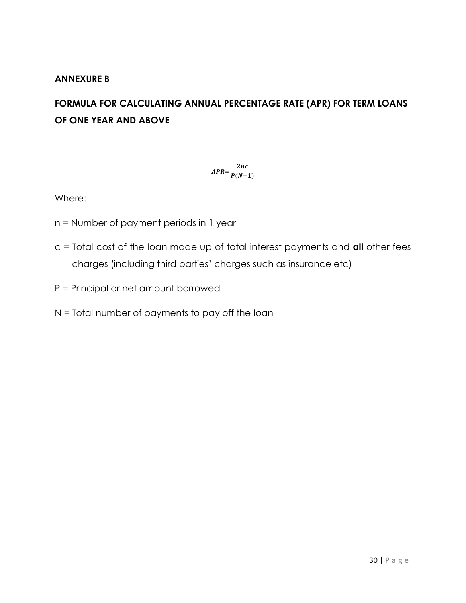#### **ANNEXURE B**

# **FORMULA FOR CALCULATING ANNUAL PERCENTAGE RATE (APR) FOR TERM LOANS OF ONE YEAR AND ABOVE**

 $APR = \frac{2nc}{P(N+1)}$ 

Where:

- n = Number of payment periods in 1 year
- c = Total cost of the loan made up of total interest payments and **all** other fees charges (including third parties' charges such as insurance etc)
- P = Principal or net amount borrowed
- N = Total number of payments to pay off the loan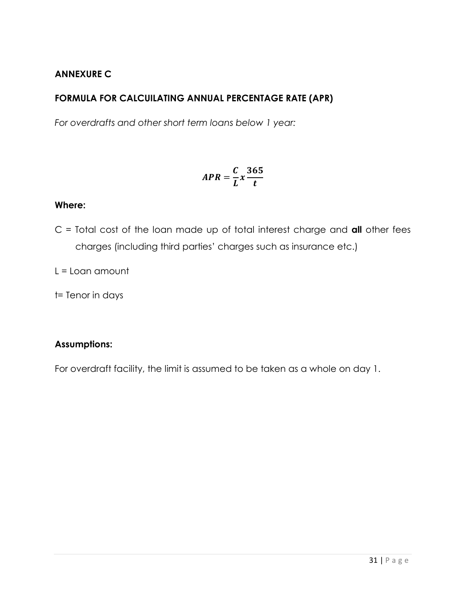# **ANNEXURE C**

# **FORMULA FOR CALCUILATING ANNUAL PERCENTAGE RATE (APR)**

*For overdrafts and other short term loans below 1 year:* 

$$
APR = \frac{C}{L}x\frac{365}{t}
$$

### **Where:**

C = Total cost of the loan made up of total interest charge and **all** other fees charges (including third parties' charges such as insurance etc.)

 $L =$  Loan amount

t= Tenor in days

## **Assumptions:**

For overdraft facility, the limit is assumed to be taken as a whole on day 1.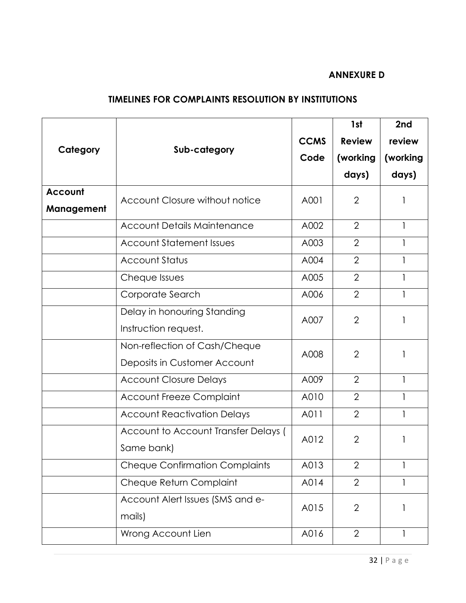## **ANNEXURE D**

# **TIMELINES FOR COMPLAINTS RESOLUTION BY INSTITUTIONS**

|            |                                       |             | 1st            | 2nd          |
|------------|---------------------------------------|-------------|----------------|--------------|
|            | Sub-category                          | <b>CCMS</b> | <b>Review</b>  | review       |
| Category   |                                       | Code        | (working       | (working     |
|            |                                       |             | days)          | days)        |
| Account    | Account Closure without notice        | A001        | $\overline{2}$ |              |
| Management |                                       |             |                |              |
|            | <b>Account Details Maintenance</b>    | A002        | $\overline{2}$ | 1            |
|            | <b>Account Statement Issues</b>       | A003        | $\overline{2}$ | 1            |
|            | <b>Account Status</b>                 | A004        | $\overline{2}$ | $\mathbf{1}$ |
|            | Cheque Issues                         | A005        | $\overline{2}$ | 1            |
|            | Corporate Search                      | A006        | $\overline{2}$ |              |
|            | Delay in honouring Standing           | A007        | $\overline{2}$ |              |
|            | Instruction request.                  |             |                |              |
|            | Non-reflection of Cash/Cheque         | A008        | $\overline{2}$ |              |
|            | Deposits in Customer Account          |             |                |              |
|            | <b>Account Closure Delays</b>         | A009        | $\overline{2}$ | $\mathbf{1}$ |
|            | <b>Account Freeze Complaint</b>       | A010        | $\overline{2}$ | 1            |
|            | <b>Account Reactivation Delays</b>    | A011        | $\overline{2}$ | 1            |
|            | Account to Account Transfer Delays (  | A012        | $\overline{2}$ |              |
|            | Same bank)                            |             |                |              |
|            | <b>Cheque Confirmation Complaints</b> | A013        | $\overline{2}$ | 1            |
|            | Cheque Return Complaint               | A014        | $\overline{2}$ |              |
|            | Account Alert Issues (SMS and e-      | A015        | $\overline{2}$ |              |
|            | mails)                                |             |                |              |
|            | Wrong Account Lien                    | A016        | $\overline{2}$ | 1            |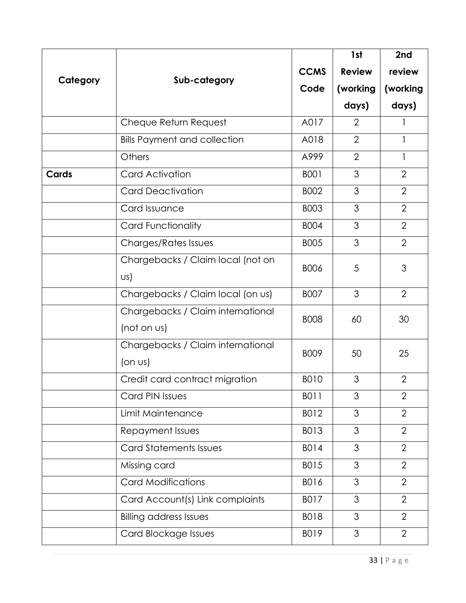|          |                                     |             | 1st            | 2nd            |
|----------|-------------------------------------|-------------|----------------|----------------|
| Category | Sub-category                        | <b>CCMS</b> | <b>Review</b>  | review         |
|          |                                     | Code        | (working       | (working       |
|          |                                     |             | days)          | days)          |
|          | Cheque Return Request               | A017        | $\overline{2}$ | 1              |
|          | <b>Bills Payment and collection</b> | A018        | $\overline{2}$ | 1              |
|          | Others                              | A999        | $\overline{2}$ | $\mathbf{1}$   |
| Cards    | Card Activation                     | <b>BOO1</b> | 3              | $\overline{2}$ |
|          | <b>Card Deactivation</b>            | <b>BOO2</b> | 3              | $\overline{2}$ |
|          | Card Issuance                       | <b>BOO3</b> | 3              | $\overline{2}$ |
|          | <b>Card Functionality</b>           | <b>BOO4</b> | 3              | $\overline{2}$ |
|          | Charges/Rates Issues                | <b>BOO5</b> | 3              | $\overline{2}$ |
|          | Chargebacks / Claim local (not on   | <b>BOO6</b> | 5              | 3              |
|          | US)                                 |             |                |                |
|          | Chargebacks / Claim local (on us)   | <b>BOO7</b> | 3              | $\overline{2}$ |
|          | Chargebacks / Claim international   | <b>BOO8</b> | 60             | 30             |
|          | (not on us)                         |             |                |                |
|          | Chargebacks / Claim international   | <b>BOO9</b> | 50             | 25             |
|          | $($ on us $)$                       |             |                |                |
|          | Credit card contract migration      | <b>BO10</b> | 3              | $\overline{2}$ |
|          | Card PIN Issues                     | B011        | 3              | $\overline{2}$ |
|          | Limit Maintenance                   | B012        | 3              | 2              |
|          | Repayment Issues                    | B013        | 3              | $\overline{2}$ |
|          | <b>Card Statements Issues</b>       | B014        | 3              | $\overline{2}$ |
|          | Missing card                        | B015        | 3              | $\overline{2}$ |
|          | <b>Card Modifications</b>           | B016        | 3              | $\overline{2}$ |
|          | Card Account(s) Link complaints     | B017        | 3              | $\overline{2}$ |
|          | <b>Billing address Issues</b>       | <b>BO18</b> | 3              | $\overline{2}$ |
|          | Card Blockage Issues                | B019        | 3              | $\overline{2}$ |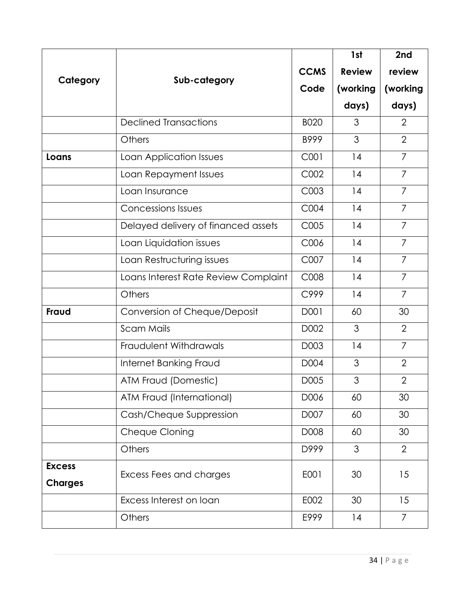|                                 |                                      |             | 1st           | 2nd            |
|---------------------------------|--------------------------------------|-------------|---------------|----------------|
| Category                        | Sub-category                         | <b>CCMS</b> | <b>Review</b> | review         |
|                                 |                                      | Code        | (working      | (working       |
|                                 |                                      |             | days)         | days)          |
|                                 | <b>Declined Transactions</b>         | <b>B020</b> | 3             | $\overline{2}$ |
|                                 | Others                               | B999        | 3             | $\overline{2}$ |
| Loans                           | Loan Application Issues              | C001        | 14            | $\overline{7}$ |
|                                 | Loan Repayment Issues                | C002        | 14            | $\overline{7}$ |
|                                 | Loan Insurance                       | C003        | 14            | $\overline{7}$ |
|                                 | <b>Concessions Issues</b>            | C004        | 14            | 7              |
|                                 | Delayed delivery of financed assets  | C005        | 14            | $\overline{7}$ |
|                                 | Loan Liquidation issues              | C006        | 14            | $\overline{7}$ |
|                                 | Loan Restructuring issues            | C007        | 14            | $\overline{7}$ |
|                                 | Loans Interest Rate Review Complaint | C008        | 14            | $\overline{7}$ |
|                                 | Others                               | C999        | 14            | $\overline{7}$ |
| <b>Fraud</b>                    | Conversion of Cheque/Deposit         | D001        | 60            | 30             |
|                                 | <b>Scam Mails</b>                    | D002        | 3             | $\overline{2}$ |
|                                 | Fraudulent Withdrawals               | D003        | 14            | 7              |
|                                 | Internet Banking Fraud               | D004        | 3             | $\overline{2}$ |
|                                 | ATM Fraud (Domestic)                 | D005        | 3             | $\overline{2}$ |
|                                 | ATM Fraud (International)            | D006        | 60            | 30             |
|                                 | Cash/Cheque Suppression              | D007        | 60            | 30             |
|                                 | Cheque Cloning                       | D008        | 60            | 30             |
|                                 | Others                               | D999        | 3             | 2              |
| <b>Excess</b><br><b>Charges</b> | Excess Fees and charges              | E001        | 30            | 15             |
|                                 | Excess Interest on loan              | E002        | 30            | 15             |
|                                 | Others                               | E999        | 14            | $\overline{7}$ |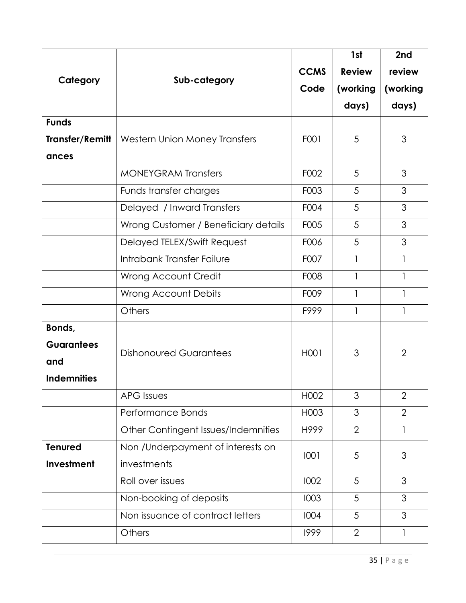|                        | Sub-category                         |                   | 1st            | 2nd            |
|------------------------|--------------------------------------|-------------------|----------------|----------------|
| Category               |                                      | <b>CCMS</b>       | <b>Review</b>  | review         |
|                        |                                      | Code              | (working       | (working       |
|                        |                                      |                   | days)          | days)          |
| <b>Funds</b>           |                                      |                   |                |                |
| <b>Transfer/Remitt</b> | <b>Western Union Money Transfers</b> | F001              | 5              | 3              |
| ances                  |                                      |                   |                |                |
|                        | <b>MONEYGRAM Transfers</b>           | F002              | 5              | 3              |
|                        | Funds transfer charges               | F003              | 5              | 3              |
|                        | Delayed / Inward Transfers           | F004              | 5              | 3              |
|                        | Wrong Customer / Beneficiary details | F005              | 5              | 3              |
|                        | Delayed TELEX/Swift Request          | F006              | 5              | 3              |
|                        | Intrabank Transfer Failure           | F007              | $\mathbf{1}$   | 1              |
|                        | Wrong Account Credit                 | F008              | $\mathbf{1}$   | $\mathbf{1}$   |
|                        | <b>Wrong Account Debits</b>          | F009              | $\mathbf{1}$   | $\mathbf{1}$   |
|                        | Others                               | F999              | $\mathbf{1}$   | $\mathbf{1}$   |
| Bonds,                 |                                      |                   |                |                |
| <b>Guarantees</b>      | <b>Dishonoured Guarantees</b>        | H <sub>00</sub> 1 | 3              | $\overline{2}$ |
| and                    |                                      |                   |                |                |
| <b>Indemnities</b>     |                                      |                   |                |                |
|                        | <b>APG</b> Issues                    | H002              | 3              | $\overline{2}$ |
|                        | Performance Bonds                    | H003              | 3              | $\overline{2}$ |
|                        | Other Contingent Issues/Indemnities  | H999              | $\overline{2}$ | 1              |
| <b>Tenured</b>         | Non /Underpayment of interests on    | 1001              | 5              | 3              |
| Investment             | investments                          |                   |                |                |
|                        | Roll over issues                     | 1002              | 5              | 3              |
|                        | Non-booking of deposits              | 1003              | 5              | 3              |
|                        | Non issuance of contract letters     | 1004              | 5              | 3              |
|                        | Others                               | 1999              | $\overline{2}$ | $\mathbf{I}$   |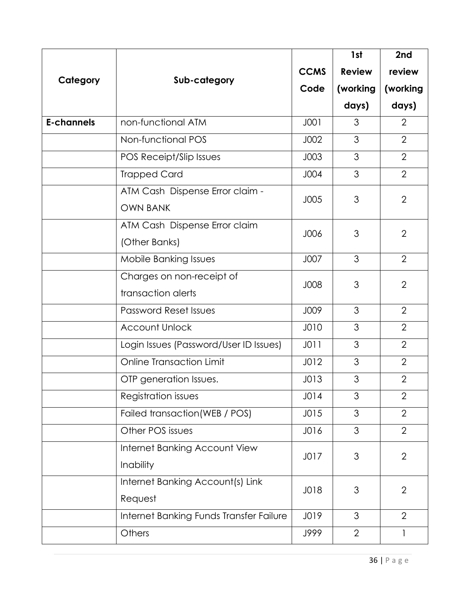|                   | Sub-category                                       |             | 1st            | 2nd            |
|-------------------|----------------------------------------------------|-------------|----------------|----------------|
| Category          |                                                    | <b>CCMS</b> | <b>Review</b>  | review         |
|                   |                                                    | Code        | (working       | (working       |
|                   |                                                    |             | days)          | days)          |
| <b>E-channels</b> | non-functional ATM                                 | JOO1        | 3              | $\overline{2}$ |
|                   | Non-functional POS                                 | J002        | 3              | $\overline{2}$ |
|                   | POS Receipt/Slip Issues                            | J003        | 3              | 2              |
|                   | <b>Trapped Card</b>                                | J004        | 3              | $\overline{2}$ |
|                   | ATM Cash Dispense Error claim -<br><b>OWN BANK</b> | J005        | 3              | $\overline{2}$ |
|                   | ATM Cash Dispense Error claim<br>(Other Banks)     | J006        | 3              | $\overline{2}$ |
|                   | Mobile Banking Issues                              | J007        | 3              | $\overline{2}$ |
|                   | Charges on non-receipt of<br>transaction alerts    | J008        | 3              | $\overline{2}$ |
|                   | <b>Password Reset Issues</b>                       | J009        | 3              | $\overline{2}$ |
|                   | <b>Account Unlock</b>                              | J010        | 3              | $\overline{2}$ |
|                   | Login Issues (Password/User ID Issues)             | JO11        | 3              | $\overline{2}$ |
|                   | <b>Online Transaction Limit</b>                    | J012        | 3              | $\overline{2}$ |
|                   | OTP generation Issues.                             | J013        | 3              | $\overline{2}$ |
|                   | Registration issues                                | J014        | 3              | $\overline{2}$ |
|                   | Failed transaction (WEB / POS)                     | J015        | 3              | $\overline{2}$ |
|                   | Other POS issues                                   | J016        | 3              | $\overline{2}$ |
|                   | Internet Banking Account View<br>Inability         | J017        | 3              | $\overline{2}$ |
|                   | Internet Banking Account(s) Link<br>Request        | J018        | 3              | $\overline{2}$ |
|                   | Internet Banking Funds Transfer Failure            | J019        | 3              | $\overline{2}$ |
|                   | Others                                             | J999        | $\overline{2}$ | 1              |